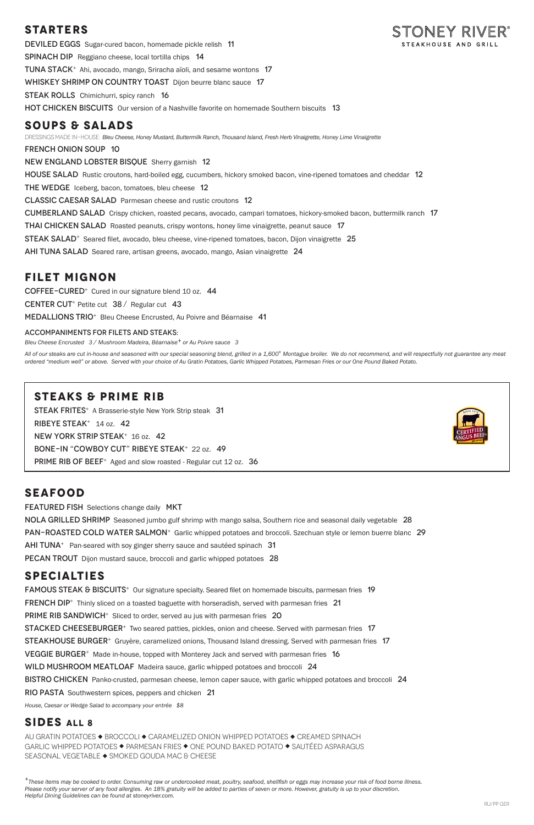## **STARTERS**

DEVILED EGGS Sugar-cured bacon, homemade pickle relish 11 SPINACH DIP Reggiano cheese, local tortilla chips 14 TUNA STACK<sup>+</sup> Ahi, avocado, mango, Sriracha aïoli, and sesame wontons 17 WHISKEY SHRIMP ON COUNTRY TOAST Dijon beurre blanc sauce 17 **STEAK ROLLS** Chimichurri, spicy ranch 16 **HOT CHICKEN BISCUITS** Our version of a Nashville favorite on homemade Southern biscuits 13

### **SOUPS & SALADS**

DRESSINGS MADE IN-HOUSE: *Bleu Cheese, Honey Mustard, Buttermilk Ranch, Thousand Island, Fresh Herb Vinaigrette, Honey Lime Vinaigrette*

french onion soup 10

New England Lobster BisqueSherry garnish 12

HOUSE SALAD Rustic croutons, hard-boiled egg, cucumbers, hickory smoked bacon, vine-ripened tomatoes and cheddar 12

The WedgeIceberg, bacon, tomatoes, bleu cheese 12

Classic Caesar SaladParmesan cheese and rustic croutons 12

Cumberland SaladCrispy chicken, roasted pecans, avocado, campari tomatoes, hickory-smoked bacon, buttermilk ranch 17

**THAI CHICKEN SALAD** Roasted peanuts, crispy wontons, honey lime vinaigrette, peanut sauce 17

**STEAK SALAD**<sup>+</sup> Seared filet, avocado, bleu cheese, vine-ripened tomatoes, bacon, Dijon vinaigrette 25

AHI TUNA SALAD Seared rare, artisan greens, avocado, mango, Asian vinaigrette 24

All of our steaks are cut in-house and seasoned with our special seasoning blend, grilled in a 1,600° Montague broiler. We do not recommend, and will respectfully not guarantee any meat *ordered "medium well" or above. Served with your choice of Au Gratin Potatoes, Garlic Whipped Potatoes, Parmesan Fries or our One Pound Baked Potato.*

## **FILET MIGNON**

COFFEE-CURED<sup>+</sup> Cured in our signature blend 10 oz. 44

CENTER CUT<sup>+</sup> Petite cut 38 / Regular cut 43

Medallions TRIO<sup>+</sup>Bleu Cheese Encrusted, Au Poivre and Béarnaise 41

#### ACCOMPANIMENTS FOR FILETS AND STEAKS:

*Bleu Cheese Encrusted 3 / Mushroom Madeira, Béarnaise+ or Au Poivre sauce 3*

### **STEAKS & PRIME RIB**

STEAK FRITES<sup>+</sup> A Brasserie-style New York Strip steak 31 RIBEYE STEAK<sup>+</sup> 14 oz. 42 NEW YORK STRIP STEAK<sup>+</sup> 16 oz. 42 BONE-IN "COWBOY CUT" RIBEYE STEAK+ 22 oz. 49 PRIME RIB OF BEEF<sup>+</sup> Aged and slow roasted - Regular cut 12 oz. 36



### **SEAFOOD**

**FEATURED FISH** Selections change daily MKT NOLA GRILLED SHRIMP Seasoned jumbo gulf shrimp with mango salsa, Southern rice and seasonal daily vegetable 28 PAN-ROASTED COLD WATER SALMON<sup>+</sup> Garlic whipped potatoes and broccoli. Szechuan style or lemon buerre blanc 29  $AHI TUNA<sup>+</sup>$  Pan-seared with soy ginger sherry sauce and sautéed spinach 31 PECAN TROUT Dijon mustard sauce, broccoli and garlic whipped potatoes 28

## **SPECIALTIES**

**FAMOUS STEAK & BISCUITS**<sup>+</sup> Our signature specialty. Seared filet on homemade biscuits, parmesan fries 19 **FRENCH DIP**<sup>+</sup> Thinly sliced on a toasted baguette with horseradish, served with parmesan fries 21 PRIME RIB SANDWICH<sup>+</sup> Sliced to order, served au jus with parmesan fries 20 Stacked Cheeseburger<sup>+</sup>Two seared patties, pickles, onion and cheese. Served with parmesan fries 17 STEAKHOUSE BURGER<sup>+</sup> Gruyère, caramelized onions, Thousand Island dressing. Served with parmesan fries 17 **VEGGIE BURGER<sup>+</sup>** Made in-house, topped with Monterey Jack and served with parmesan fries 16 WILD MUSHROOM MEATLOAF Madeira sauce, garlic whipped potatoes and broccoli 24 BISTRO CHICKEN Panko-crusted, parmesan cheese, lemon caper sauce, with garlic whipped potatoes and broccoli 24 RIO PASTA Southwestern spices, peppers and chicken 21



*House, Caesar or Wedge Salad to accompany your entrée \$8*

### **SIDES ALL 8**

AU GRATIN POTATOES ◆ BROCCOLI ◆ CARAMELIZED ONION WHIPPED POTATOES ◆ CREAMED SPINACH GARLIC WHIPPED POTATOES ◆ PARMESAN FRIES ◆ ONE POUND BAKED POTATO ◆ SAUTÉED ASPARAGUS SEASONAL VEGETABLE ◆ SMOKED GOUDA MAC & CHEESE

*<sup>+</sup>These items may be cooked to order. Consuming raw or undercooked meat, poultry, seafood, shellfish or eggs may increase your risk of food borne illness. Please notify your server of any food allergies. An 18% gratuity will be added to parties of seven or more. However, gratuity is up to your discretion. Helpful Dining Guidelines can be found at stoneyriver.com.*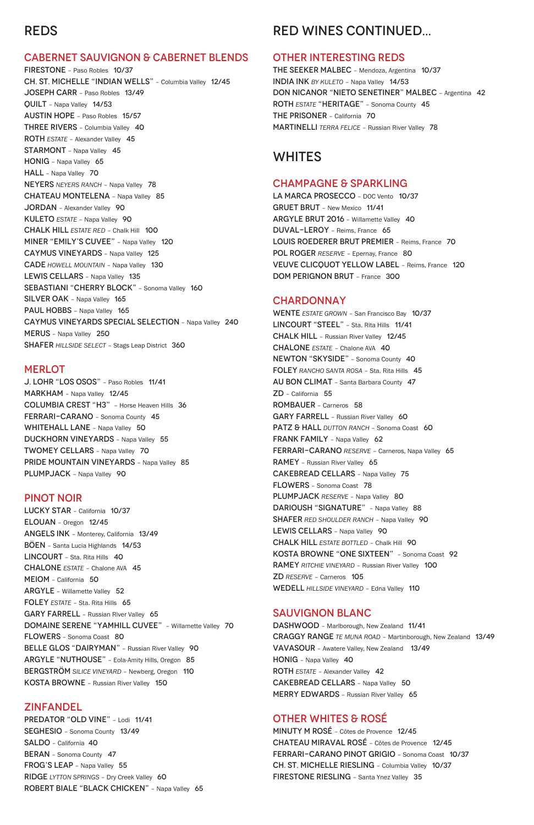# REDS

#### CABERNET SAUVIGNON & CABERNET BLENDS

J. LOHR "LOS OSOS" – Paso Robles 11/41 MARKHAM – Napa Valley 12/45 COLUMBIA CREST "H3" – Horse Heaven Hills 36 FERRARI-CARANO – Sonoma County 45 WHITEHALL LANE - Napa Valley 50 DUCKHORN VINEYARDS – Napa Valley 55 TWOMEY CELLARS – Napa Valley 70 PRIDE MOUNTAIN VINEYARDS - Napa Valley 85 PLUMPJACK - Napa Valley 90

FIRESTONE – Paso Robles 10/37 CH. ST. MICHELLE "INDIAN WELLS" – Columbia Valley 12/45 JOSEPH CARR – Paso Robles 13/49 QUILT – Napa Valley 14/53 AUSTIN HOPE – Paso Robles 15/57 THREE RIVERS – Columbia Valley 40 ROTH *ESTATE* – Alexander Valley 45 STARMONT - Napa Valley 45 HONIG – Napa Valley 65 HALL - Napa Valley 70 NEYERS *NEYERS RANCH* – Napa Valley 78 CHATEAU MONTELENA – Napa Valley 85 JORDAN - Alexander Valley 90 KULETO *ESTATE* – Napa Valley 90 CHALK HILL *ESTATE RED* – Chalk Hill 100 MINER "EMILY'S CUVEE" – Napa Valley 120 CAYMUS VINEYARDS – Napa Valley 125 CADE *HOWELL MOUNTAIN* – Napa Valley 130 LEWIS CELLARS - Napa Valley 135 SEBASTIANI "CHERRY BLOCK" - Sonoma Valley 160 SILVER OAK - Napa Valley 165 PAUL HOBBS - Napa Valley 165 CAYMUS VINEYARDS SPECIAL SELECTION – Napa Valley 240 MERUS – Napa Valley 250 SHAFER *HILLSIDE SELECT* – Stags Leap District 360

#### **MERLOT**

LUCKY STAR – California 10/37 ELOUAN – Oregon 12/45 ANGELS INK – Monterey, California 13/49 BÖEN – Santa Lucia Highlands 14/53 LINCOURT - Sta. Rita Hills 40 CHALONE *ESTATE* – Chalone AVA 45 MEIOM – California 50 ARGYLE – Willamette Valley 52 FOLEY *ESTATE* - Sta. Rita Hills 65

PREDATOR "OLD VINE" - Lodi 11/41 SEGHESIO – Sonoma County 13/49 SALDO – California 40 BERAN – Sonoma County 47 FROG'S LEAP – Napa Valley 55 RIDGE *LYTTON SPRINGS* – Dry Creek Valley 60 ROBERT BIALE "BLACK CHICKEN" – Napa Valley 65

#### PINOT NOIR

WENTE *ESTATE GROWN* – San Francisco Bay 10/37 LINCOURT "STEEL" – Sta. Rita Hills 11/41 CHALK HILL – Russian River Valley 12/45 CHALONE *ESTATE* – Chalone AVA 40 NEWTON "SKYSIDE" – Sonoma County 40 FOLEY *RANCHO SANTA ROSA* – Sta. Rita Hills 45 AU BON CLIMAT – Santa Barbara County 47 ZD – California 55 ROMBAUER – Carneros 58 GARY FARRELL - Russian River Valley 60 PATZ & HALL *DUTTON RANCH* - Sonoma Coast 60 FRANK FAMILY - Napa Valley 62 FERRARI-CARANO *RESERVE* – Carneros, Napa Valley 65 RAMEY – Russian River Valley 65 CAKEBREAD CELLARS – Napa Valley 75 FLOWERS – Sonoma Coast 78 PLUMPJACK RESERVE - Napa Valley 80 DARIOUSH "SIGNATURE" - Napa Valley 88 SHAFER *RED SHOULDER RANCH* – Napa Valley 90 LEWIS CELLARS - Napa Valley 90 CHALK HILL *ESTATE BOTTLED* – Chalk Hill 90 KOSTA BROWNE "ONE SIXTEEN" – Sonoma Coast 92 RAMEY *RITCHIE VINEYARD* – Russian River Valley 100 ZD *RESERVE* – Carneros 105 WEDELL HILLSIDE VINEYARD - Edna Valley 110

GARY FARRELL – Russian River Valley 65 DOMAINE SERENE "YAMHILL CUVEE" – Willamette Valley 70 FLOWERS – Sonoma Coast 80 BELLE GLOS "DAIRYMAN" – Russian River Valley 90 ARGYLE "NUTHOUSE" – Eola-Amity Hills, Oregon 85 BERGSTRÖM SILICE VINEYARD - Newberg, Oregon 110 KOSTA BROWNE – Russian River Valley 150

#### ZINFANDEL

DASHWOOD - Marlborough, New Zealand 11/41 CRAGGY RANGE *TE MUNA ROAD* – Martinborough, New Zealand 13/49 VAVASOUR – Awatere Valley, New Zealand 13/49 HONIG – Napa Valley 40 ROTH *ESTATE* – Alexander Valley 42 CAKEBREAD CELLARS – Napa Valley 50 MERRY EDWARDS – Russian River Valley 65

# RED WINES CONTINUED...

#### OTHER INTERESTING REDS

THE SEEKER MALBEC – Mendoza, Argentina 10/37 INDIA INK *BY KULETO* – Napa Valley 14/53 DON NICANOR "NIETO SENETINER" MALBEC – Argentina 42 ROTH *ESTATE* "HERITAGE" – Sonoma County 45 THE PRISONER – California 70 MARTINELLI *TERRA FELICE* – Russian River Valley 78

## WHITES

#### CHAMPAGNE & SPARKLING

LA MARCA PROSECCO – DOC Vento 10/37 GRUET BRUT – New Mexico 11/41 ARGYLE BRUT 2016 – Willamette Valley 40 DUVAL-LEROY – Reims, France 65 LOUIS ROEDERER BRUT PREMIER – Reims, France 70 POL ROGER RESERVE - Epernay, France 80 VEUVE CLICQUOT YELLOW LABEL – Reims, France 120 DOM PERIGNON BRUT – France 300

#### **CHARDONNAY**

#### SAUVIGNON BLANC

### OTHER WHITES & ROSÉ

MINUTY M ROSÉ – Côtes de Provence 12/45 CHATEAU MIRAVAL ROSÉ – Côtes de Provence 12/45 FERRARI-CARANO PINOT GRIGIO – Sonoma Coast 10/37 CH. ST. MICHELLE RIESLING – Columbia Valley 10/37 FIRESTONE RIESLING – Santa Ynez Valley 35